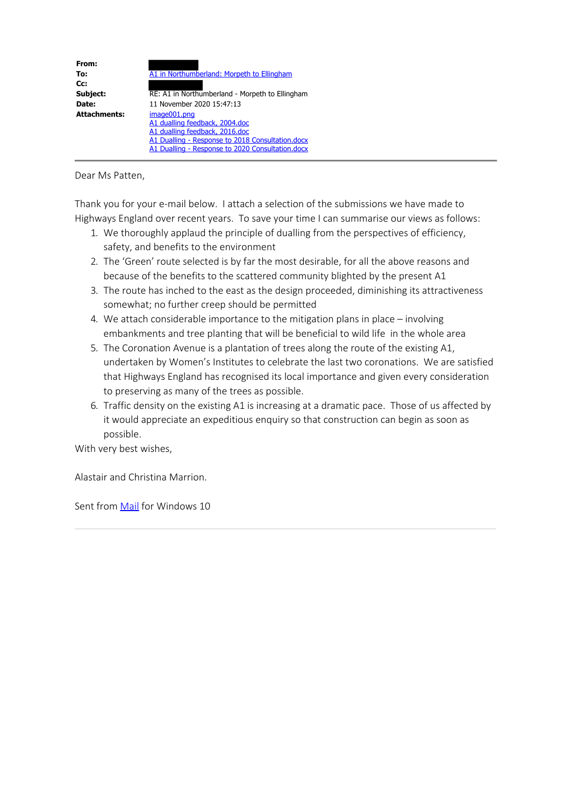| From:<br>To:        | A1 in Northumberland: Morpeth to Ellingham       |
|---------------------|--------------------------------------------------|
|                     |                                                  |
| Cc:                 |                                                  |
| Subject:            | RE: A1 in Northumberland - Morpeth to Ellingham  |
| Date:               | 11 November 2020 15:47:13                        |
| <b>Attachments:</b> | image001.png                                     |
|                     | A1 dualling feedback, 2004.doc                   |
|                     | A1 dualling feedback, 2016.doc                   |
|                     | A1 Dualling - Response to 2018 Consultation.docx |
|                     | A1 Dualling - Response to 2020 Consultation.docx |

### Dear Ms Patten,

Thank you for your e-mail below. I attach a selection of the submissions we have made to Highways England over recent years. To save your time I can summarise our views as follows:

- 1. We thoroughly applaud the principle of dualling from the perspectives of efficiency, safety, and benefits to the environment
- 2. The 'Green' route selected is by far the most desirable, for all the above reasons and because of the benefits to the scattered community blighted by the present A1
- 3. The route has inched to the east as the design proceeded, diminishing its attractiveness somewhat; no further creep should be permitted
- 4. We attach considerable importance to the mitigation plans in place involving embankments and tree planting that will be beneficial to wild life in the whole area
- 5. The Coronation Avenue is a plantation of trees along the route of the existing A1, undertaken by Women's Institutes to celebrate the last two coronations. We are satisfied that Highways England has recognised its local importance and given every consideration to preserving as many of the trees as possible.
- 6. Traffic density on the existing A1 is increasing at a dramatic pace. Those of us affected by it would appreciate an expeditious enquiry so that construction can begin as soon as possible.

With very best wishes,

Alastair and Christina Marrion.

Sent from Mail for Windows 10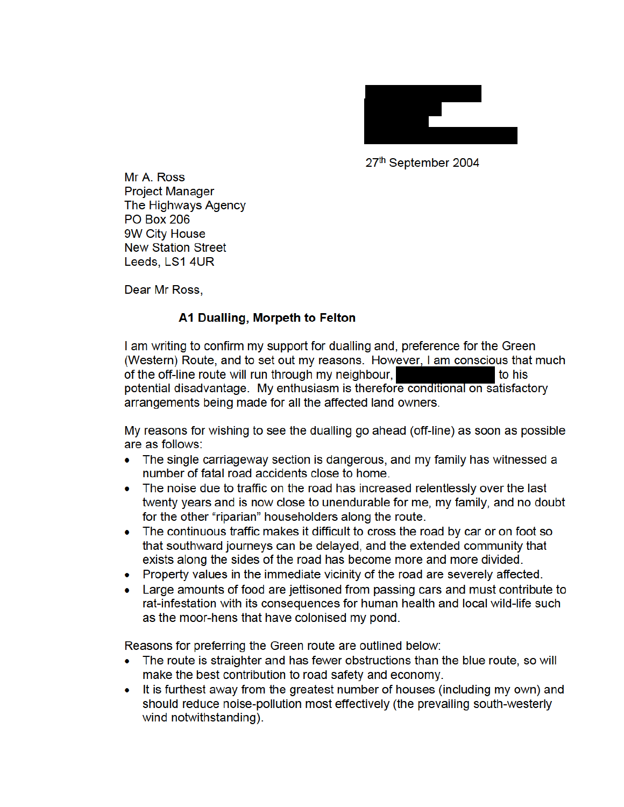

27th September 2004

Mr A. Ross **Project Manager** The Highways Agency **PO Box 206** 9W City House **New Station Street** Leeds, LS1 4UR

Dear Mr Ross,

# A1 Dualling, Morpeth to Felton

I am writing to confirm my support for dualling and, preference for the Green (Western) Route, and to set out my reasons. However, I am conscious that much of the off-line route will run through my neighbour, to his potential disadvantage. My enthusiasm is therefore conditional on satisfactory arrangements being made for all the affected land owners.

My reasons for wishing to see the dualling go ahead (off-line) as soon as possible are as follows:

- The single carriageway section is dangerous, and my family has witnessed a number of fatal road accidents close to home.
- The noise due to traffic on the road has increased relentlessly over the last twenty years and is now close to unendurable for me, my family, and no doubt for the other "riparian" householders along the route.
- The continuous traffic makes it difficult to cross the road by car or on foot so that southward journeys can be delayed, and the extended community that exists along the sides of the road has become more and more divided.
- Property values in the immediate vicinity of the road are severely affected.
- Large amounts of food are jettisoned from passing cars and must contribute to rat-infestation with its consequences for human health and local wild-life such as the moor-hens that have colonised my pond.

Reasons for preferring the Green route are outlined below:

- The route is straighter and has fewer obstructions than the blue route, so will make the best contribution to road safety and economy.
- It is furthest away from the greatest number of houses (including my own) and should reduce noise-pollution most effectively (the prevailing south-westerly wind notwithstanding).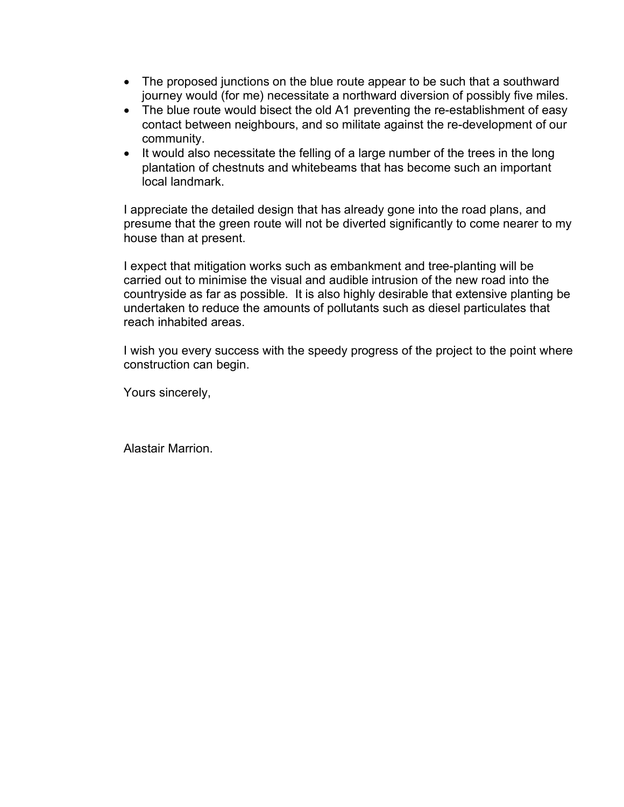- The proposed junctions on the blue route appear to be such that a southward journey would (for me) necessitate a northward diversion of possibly five miles.
- The blue route would bisect the old A1 preventing the re-establishment of easy contact between neighbours, and so militate against the re-development of our community.
- It would also necessitate the felling of a large number of the trees in the long plantation of chestnuts and whitebeams that has become such an important local landmark.

I appreciate the detailed design that has already gone into the road plans, and presume that the green route will not be diverted significantly to come nearer to my house than at present.

I expect that mitigation works such as embankment and tree-planting will be carried out to minimise the visual and audible intrusion of the new road into the countryside as far as possible. It is also highly desirable that extensive planting be undertaken to reduce the amounts of pollutants such as diesel particulates that reach inhabited areas.

I wish you every success with the speedy progress of the project to the point where construction can begin.

Yours sincerely,

Alastair Marrion.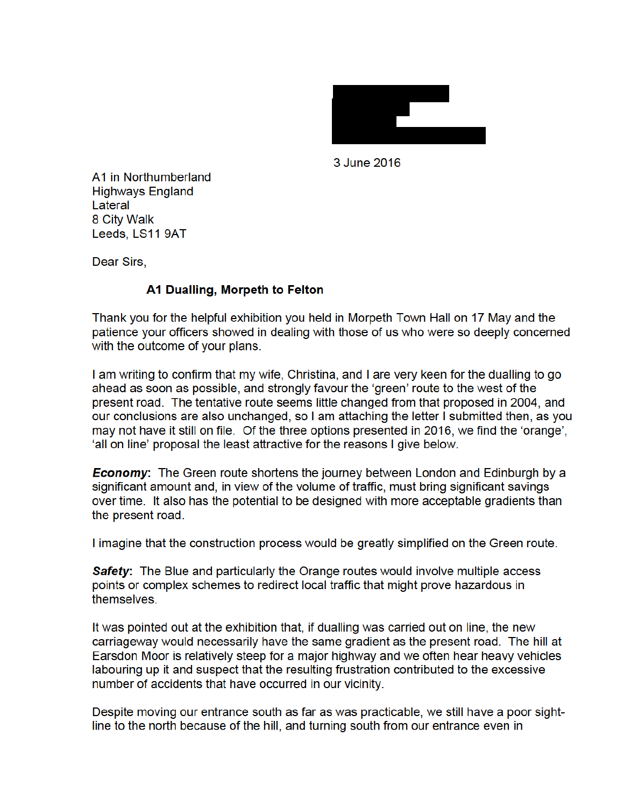

3 June 2016

A1 in Northumberland **Highways England** Lateral 8 City Walk Leeds, LS11 9AT

Dear Sirs,

# A1 Dualling, Morpeth to Felton

Thank you for the helpful exhibition you held in Morpeth Town Hall on 17 May and the patience your officers showed in dealing with those of us who were so deeply concerned with the outcome of your plans.

I am writing to confirm that my wife, Christina, and I are very keen for the dualling to go ahead as soon as possible, and strongly favour the 'green' route to the west of the present road. The tentative route seems little changed from that proposed in 2004, and our conclusions are also unchanged, so I am attaching the letter I submitted then, as you may not have it still on file. Of the three options presented in 2016, we find the 'orange', 'all on line' proposal the least attractive for the reasons I give below.

**Economy:** The Green route shortens the journey between London and Edinburgh by a significant amount and, in view of the volume of traffic, must bring significant savings over time. It also has the potential to be designed with more acceptable gradients than the present road.

I imagine that the construction process would be greatly simplified on the Green route.

**Safety:** The Blue and particularly the Orange routes would involve multiple access points or complex schemes to redirect local traffic that might prove hazardous in themselves.

It was pointed out at the exhibition that, if dualling was carried out on line, the new carriageway would necessarily have the same gradient as the present road. The hill at Earsdon Moor is relatively steep for a major highway and we often hear heavy vehicles labouring up it and suspect that the resulting frustration contributed to the excessive number of accidents that have occurred in our vicinity.

Despite moving our entrance south as far as was practicable, we still have a poor sightline to the north because of the hill, and turning south from our entrance even in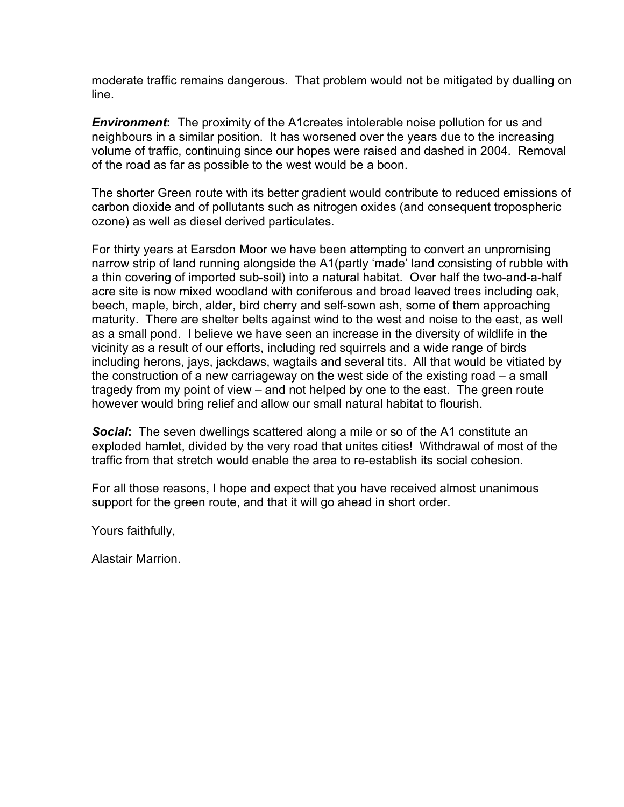moderate traffic remains dangerous. That problem would not be mitigated by dualling on line.

*Environment***:** The proximity of the A1creates intolerable noise pollution for us and neighbours in a similar position. It has worsened over the years due to the increasing volume of traffic, continuing since our hopes were raised and dashed in 2004. Removal of the road as far as possible to the west would be a boon.

The shorter Green route with its better gradient would contribute to reduced emissions of carbon dioxide and of pollutants such as nitrogen oxides (and consequent tropospheric ozone) as well as diesel derived particulates.

For thirty years at Earsdon Moor we have been attempting to convert an unpromising narrow strip of land running alongside the A1(partly 'made' land consisting of rubble with a thin covering of imported sub-soil) into a natural habitat. Over half the two-and-a-half acre site is now mixed woodland with coniferous and broad leaved trees including oak, beech, maple, birch, alder, bird cherry and self-sown ash, some of them approaching maturity. There are shelter belts against wind to the west and noise to the east, as well as a small pond. I believe we have seen an increase in the diversity of wildlife in the vicinity as a result of our efforts, including red squirrels and a wide range of birds including herons, jays, jackdaws, wagtails and several tits. All that would be vitiated by the construction of a new carriageway on the west side of the existing road – a small tragedy from my point of view – and not helped by one to the east. The green route however would bring relief and allow our small natural habitat to flourish.

**Social:** The seven dwellings scattered along a mile or so of the A1 constitute an exploded hamlet, divided by the very road that unites cities! Withdrawal of most of the traffic from that stretch would enable the area to re-establish its social cohesion.

For all those reasons, I hope and expect that you have received almost unanimous support for the green route, and that it will go ahead in short order.

Yours faithfully,

Alastair Marrion.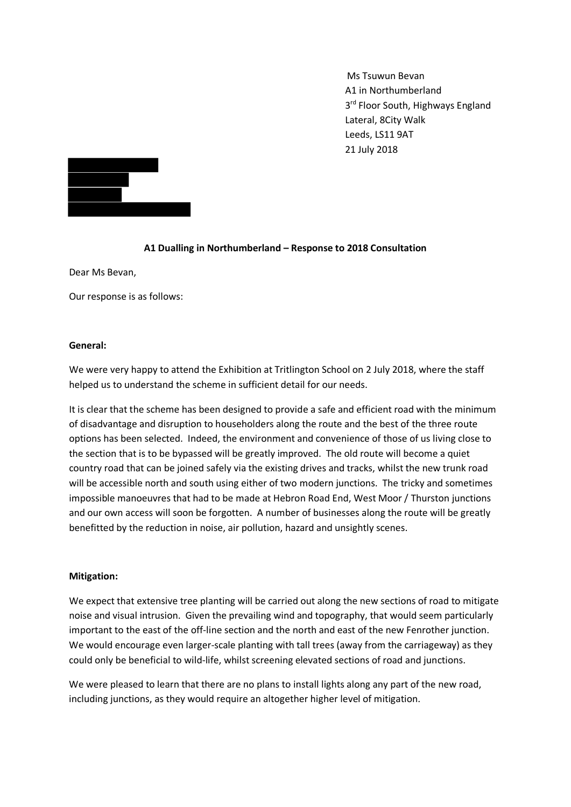Ms Tsuwun Bevan A1 in Northumberland 3<sup>rd</sup> Floor South, Highways England Lateral, 8City Walk Leeds, LS11 9AT 21 July 2018



### **A1 Dualling in Northumberland – Response to 2018 Consultation**

Dear Ms Bevan,

Our response is as follows:

#### **General:**

We were very happy to attend the Exhibition at Tritlington School on 2 July 2018, where the staff helped us to understand the scheme in sufficient detail for our needs.

It is clear that the scheme has been designed to provide a safe and efficient road with the minimum of disadvantage and disruption to householders along the route and the best of the three route options has been selected. Indeed, the environment and convenience of those of us living close to the section that is to be bypassed will be greatly improved. The old route will become a quiet country road that can be joined safely via the existing drives and tracks, whilst the new trunk road will be accessible north and south using either of two modern junctions. The tricky and sometimes impossible manoeuvres that had to be made at Hebron Road End, West Moor / Thurston junctions and our own access will soon be forgotten. A number of businesses along the route will be greatly benefitted by the reduction in noise, air pollution, hazard and unsightly scenes.

#### **Mitigation:**

We expect that extensive tree planting will be carried out along the new sections of road to mitigate noise and visual intrusion. Given the prevailing wind and topography, that would seem particularly important to the east of the off-line section and the north and east of the new Fenrother junction. We would encourage even larger-scale planting with tall trees (away from the carriageway) as they could only be beneficial to wild-life, whilst screening elevated sections of road and junctions.

We were pleased to learn that there are no plans to install lights along any part of the new road, including junctions, as they would require an altogether higher level of mitigation.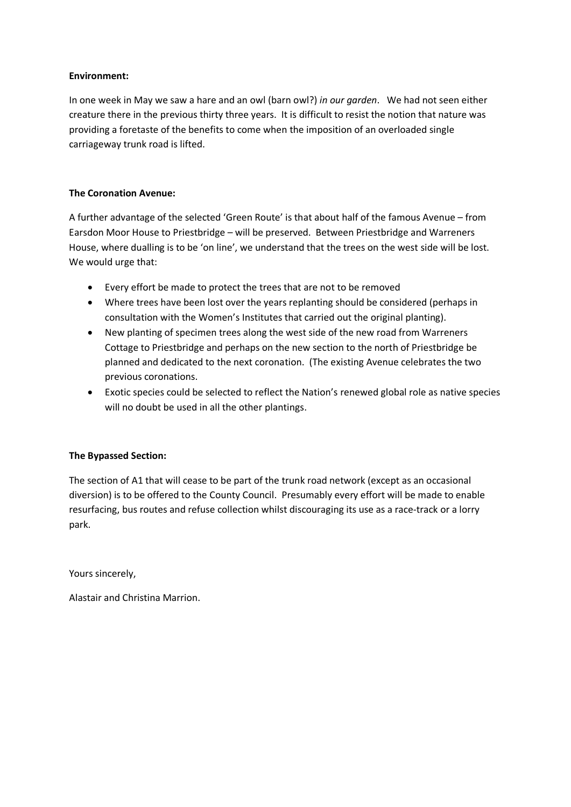### **Environment:**

In one week in May we saw a hare and an owl (barn owl?) *in our garden*. We had not seen either creature there in the previous thirty three years. It is difficult to resist the notion that nature was providing a foretaste of the benefits to come when the imposition of an overloaded single carriageway trunk road is lifted.

## **The Coronation Avenue:**

A further advantage of the selected 'Green Route' is that about half of the famous Avenue – from Earsdon Moor House to Priestbridge – will be preserved. Between Priestbridge and Warreners House, where dualling is to be 'on line', we understand that the trees on the west side will be lost. We would urge that:

- Every effort be made to protect the trees that are not to be removed
- Where trees have been lost over the years replanting should be considered (perhaps in consultation with the Women's Institutes that carried out the original planting).
- New planting of specimen trees along the west side of the new road from Warreners Cottage to Priestbridge and perhaps on the new section to the north of Priestbridge be planned and dedicated to the next coronation. (The existing Avenue celebrates the two previous coronations.
- Exotic species could be selected to reflect the Nation's renewed global role as native species will no doubt be used in all the other plantings.

#### **The Bypassed Section:**

The section of A1 that will cease to be part of the trunk road network (except as an occasional diversion) is to be offered to the County Council. Presumably every effort will be made to enable resurfacing, bus routes and refuse collection whilst discouraging its use as a race-track or a lorry park.

Yours sincerely,

Alastair and Christina Marrion.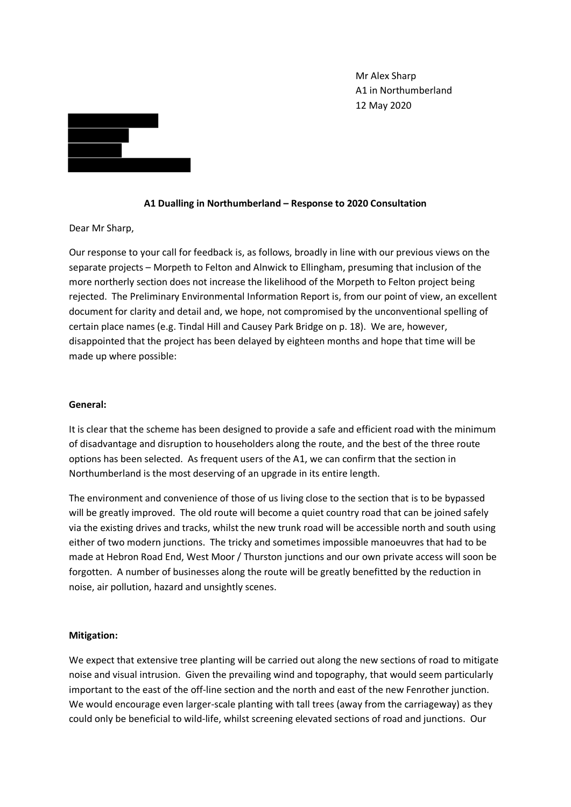Mr Alex Sharp A1 in Northumberland 12 May 2020



#### **A1 Dualling in Northumberland – Response to 2020 Consultation**

Dear Mr Sharp,

Our response to your call for feedback is, as follows, broadly in line with our previous views on the separate projects – Morpeth to Felton and Alnwick to Ellingham, presuming that inclusion of the more northerly section does not increase the likelihood of the Morpeth to Felton project being rejected. The Preliminary Environmental Information Report is, from our point of view, an excellent document for clarity and detail and, we hope, not compromised by the unconventional spelling of certain place names (e.g. Tindal Hill and Causey Park Bridge on p. 18). We are, however, disappointed that the project has been delayed by eighteen months and hope that time will be made up where possible:

#### **General:**

It is clear that the scheme has been designed to provide a safe and efficient road with the minimum of disadvantage and disruption to householders along the route, and the best of the three route options has been selected. As frequent users of the A1, we can confirm that the section in Northumberland is the most deserving of an upgrade in its entire length.

The environment and convenience of those of us living close to the section that is to be bypassed will be greatly improved. The old route will become a quiet country road that can be joined safely via the existing drives and tracks, whilst the new trunk road will be accessible north and south using either of two modern junctions. The tricky and sometimes impossible manoeuvres that had to be made at Hebron Road End, West Moor / Thurston junctions and our own private access will soon be forgotten. A number of businesses along the route will be greatly benefitted by the reduction in noise, air pollution, hazard and unsightly scenes.

#### **Mitigation:**

We expect that extensive tree planting will be carried out along the new sections of road to mitigate noise and visual intrusion. Given the prevailing wind and topography, that would seem particularly important to the east of the off-line section and the north and east of the new Fenrother junction. We would encourage even larger-scale planting with tall trees (away from the carriageway) as they could only be beneficial to wild-life, whilst screening elevated sections of road and junctions. Our